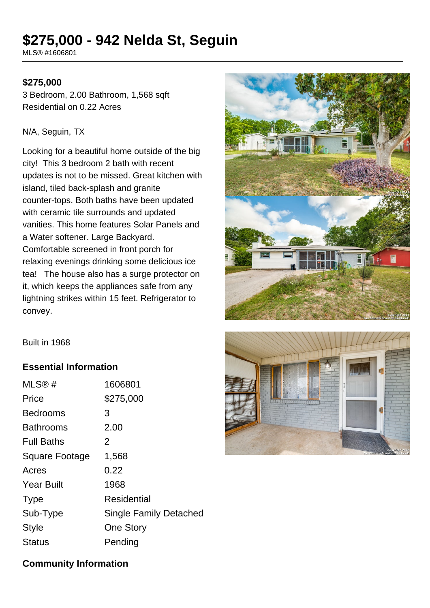# **\$275,000 - 942 Nelda St, Seguin**

MLS® #1606801

#### **\$275,000**

3 Bedroom, 2.00 Bathroom, 1,568 sqft Residential on 0.22 Acres

#### N/A, Seguin, TX

Looking for a beautiful home outside of the big city! This 3 bedroom 2 bath with recent updates is not to be missed. Great kitchen with island, tiled back-splash and granite counter-tops. Both baths have been updated with ceramic tile surrounds and updated vanities. This home features Solar Panels and a Water softener. Large Backyard. Comfortable screened in front porch for relaxing evenings drinking some delicious ice tea! The house also has a surge protector on it, which keeps the appliances safe from any lightning strikes within 15 feet. Refrigerator to convey.



Built in 1968

## **Essential Information**

| MLS®#                 | 1606801                       |
|-----------------------|-------------------------------|
| Price                 | \$275,000                     |
| <b>Bedrooms</b>       | 3                             |
| <b>Bathrooms</b>      | 2.00                          |
| <b>Full Baths</b>     | 2                             |
| <b>Square Footage</b> | 1,568                         |
| Acres                 | 0.22                          |
| <b>Year Built</b>     | 1968                          |
| <b>Type</b>           | Residential                   |
| Sub-Type              | <b>Single Family Detached</b> |
| Style                 | <b>One Story</b>              |
| Status                | Pending                       |
|                       |                               |



## **Community Information**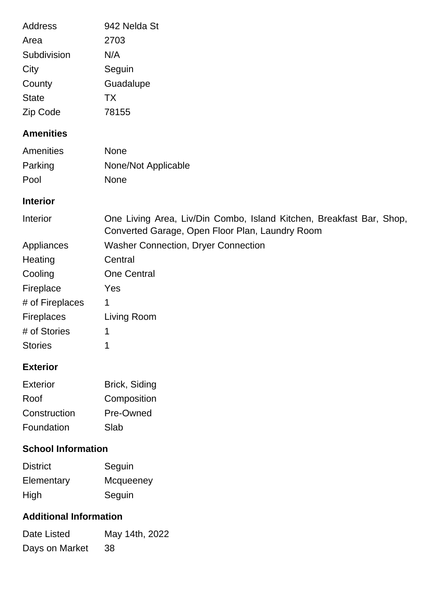| <b>Address</b><br>Area<br>Subdivision<br>City<br>County<br><b>State</b><br>Zip Code                                                                                                          | 942 Nelda St<br>2703<br>N/A<br>Seguin<br>Guadalupe<br><b>TX</b><br>78155                                                                                                                                                 |
|----------------------------------------------------------------------------------------------------------------------------------------------------------------------------------------------|--------------------------------------------------------------------------------------------------------------------------------------------------------------------------------------------------------------------------|
| <b>Amenities</b>                                                                                                                                                                             |                                                                                                                                                                                                                          |
| Amenities<br>Parking<br>Pool                                                                                                                                                                 | <b>None</b><br>None/Not Applicable<br>None                                                                                                                                                                               |
| <b>Interior</b>                                                                                                                                                                              |                                                                                                                                                                                                                          |
| Interior                                                                                                                                                                                     | One Living Area, Liv/Din Combo, Island Kitchen, Breakfast Bar, Shop,                                                                                                                                                     |
| Appliances<br>Heating<br>Cooling<br>Fireplace<br># of Fireplaces<br>Fireplaces<br># of Stories<br><b>Stories</b><br><b>Exterior</b><br><b>Exterior</b><br>Roof<br>Construction<br>Foundation | Converted Garage, Open Floor Plan, Laundry Room<br><b>Washer Connection, Dryer Connection</b><br>Central<br><b>One Central</b><br>Yes<br>1<br>Living Room<br>1<br>1<br>Brick, Siding<br>Composition<br>Pre-Owned<br>Slab |
| <b>School Information</b>                                                                                                                                                                    |                                                                                                                                                                                                                          |
| <b>District</b><br>Elementary<br>High                                                                                                                                                        | Seguin<br>Mcqueeney<br>Seguin                                                                                                                                                                                            |
| <b>Additional Information</b>                                                                                                                                                                |                                                                                                                                                                                                                          |
| Date Listed                                                                                                                                                                                  | May 14th, 2022                                                                                                                                                                                                           |

Days on Market 38